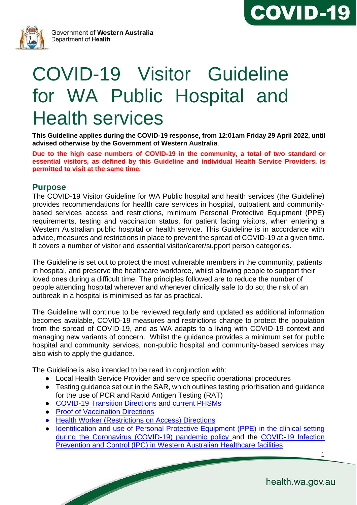



# COVID-19 Visitor Guideline for WA Public Hospital and Health services

**This Guideline applies during the COVID-19 response, from 12:01am Friday 29 April 2022, until advised otherwise by the Government of Western Australia**.

**Due to the high case numbers of COVID-19 in the community, a total of two standard or essential visitors, as defined by this Guideline and individual Health Service Providers, is permitted to visit at the same time.**

#### **Purpose**

The COVID-19 Visitor Guideline for WA Public hospital and health services (the Guideline) provides recommendations for health care services in hospital, outpatient and communitybased services access and restrictions, minimum Personal Protective Equipment (PPE) requirements, testing and vaccination status, for patient facing visitors, when entering a Western Australian public hospital or health service. This Guideline is in accordance with advice, measures and restrictions in place to prevent the spread of COVID-19 at a given time. It covers a number of visitor and essential visitor/carer/support person categories.

The Guideline is set out to protect the most vulnerable members in the community, patients in hospital, and preserve the healthcare workforce, whilst allowing people to support their loved ones during a difficult time. The principles followed are to reduce the number of people attending hospital wherever and whenever clinically safe to do so; the risk of an outbreak in a hospital is minimised as far as practical.

The Guideline will continue to be reviewed regularly and updated as additional information becomes available, COVID-19 measures and restrictions change to protect the population from the spread of COVID-19, and as WA adapts to a living with COVID-19 context and managing new variants of concern. Whilst the guidance provides a minimum set for public hospital and community services, non-public hospital and community-based services may also wish to apply the guidance.

The Guideline is also intended to be read in conjunction with:

- Local Health Service Provider and service specific operational procedures
- Testing guidance set out in the SAR, which outlines testing prioritisation and guidance for the use of PCR and Rapid Antigen Testing (RAT)
- [COVID-19 Transition Directions](https://www.wa.gov.au/government/publications?p=1) and current PHSMs
- Proof of Vaccination Directions
- [Health Worker \(Restrictions](https://www.wa.gov.au/government/publications/health-worker-restrictions-access-directions-no-4) [on Access\) Directions](https://www.wa.gov.au/government/publications)
- Identification and use of Personal Protective Equipment (PPE) in the clinical setting [during the Coronavirus \(COVID-19\) pandemic policy a](https://ww2.health.wa.gov.au/~/media/Files/Corporate/Policy-Frameworks/Public-Health/Policy/Identification-and-Use-of-Personal-Protective-Equipment/Identification-and-Use-of-PPE-in-the-Clinical-Setting.pdf)nd the [COVID-19 Infection](https://www.healthywa.wa.gov.au/~/media/Corp/Documents/Health-for/Infectious-disease/COVID19/COVID19-Infection-Prevention-and-Control-in-Hospitals.pdf)  [Prevention and Control \(IPC\) in Western Australian Healthcare facilities](https://www.healthywa.wa.gov.au/~/media/Corp/Documents/Health-for/Infectious-disease/COVID19/COVID19-Infection-Prevention-and-Control-in-Hospitals.pdf)

1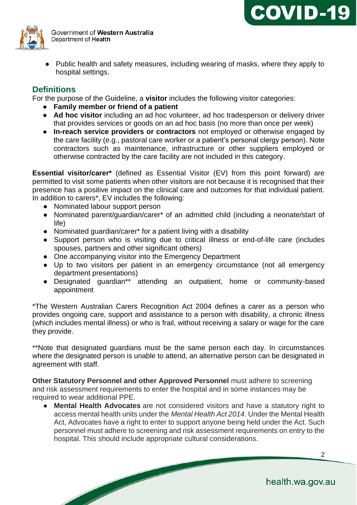

● Public health and safety measures, including wearing of masks, where they apply to hospital settings.

## **Definitions**

For the purpose of the Guideline, a **visitor** includes the following visitor categories:

- **Family member or friend of a patient**
- **Ad hoc visitor** including an ad hoc volunteer, ad hoc tradesperson or delivery driver that provides services or goods on an ad hoc basis (no more than once per week)
- **In-reach service providers or contractors** not employed or otherwise engaged by the care facility (e.g., pastoral care worker or a patient's personal clergy person). Note contractors such as maintenance, infrastructure or other suppliers employed or otherwise contracted by the care facility are not included in this category.

**Essential visitor/carer\*** (defined as Essential Visitor (EV) from this point forward) are permitted to visit some patients when other visitors are not because it is recognised that their presence has a positive impact on the clinical care and outcomes for that individual patient. In addition to carers\*, EV includes the following:

- Nominated labour support person
- Nominated parent/guardian/carer\* of an admitted child (including a neonate/start of life)
- Nominated guardian/carer\* for a patient living with a disability
- Support person who is visiting due to critical illness or end-of-life care (includes spouses, partners and other significant others)
- One accompanying visitor into the Emergency Department
- Up to two visitors per patient in an emergency circumstance (not all emergency department presentations)
- Designated guardian\*\* attending an outpatient, home or community-based appointment

\*The Western Australian Carers Recognition Act 2004 defines a carer as a person who provides ongoing care, support and assistance to a person with disability, a chronic illness (which includes mental illness) or who is frail, without receiving a salary or wage for the care they provide.

\*\*Note that designated guardians must be the same person each day. In circumstances where the designated person is unable to attend, an alternative person can be designated in agreement with staff.

**Other Statutory Personnel and other Approved Personnel** must adhere to screening and risk assessment requirements to enter the hospital and in some instances may be required to wear additional PPE.

● **Mental Health Advocates** are not considered visitors and have a statutory right to access mental health units under the *Mental Health Act 2014*. Under the Mental Health Act, Advocates have a right to enter to support anyone being held under the Act. Such personnel must adhere to screening and risk assessment requirements on entry to the hospital. This should include appropriate cultural considerations.

**COVID-19**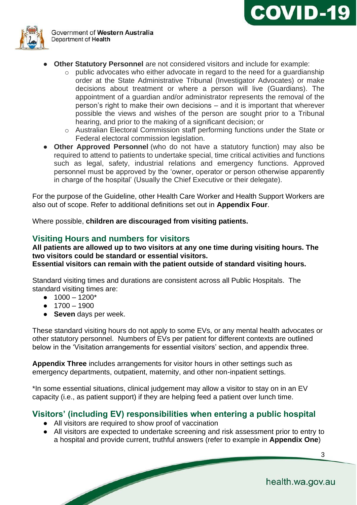



- **Other Statutory Personnel** are not considered visitors and include for example:
	- o public advocates who either advocate in regard to the need for a guardianship order at the State Administrative Tribunal (Investigator Advocates) or make decisions about treatment or where a person will live (Guardians). The appointment of a guardian and/or administrator represents the removal of the person's right to make their own decisions – and it is important that wherever possible the views and wishes of the person are sought prior to a Tribunal hearing, and prior to the making of a significant decision; or
	- o Australian Electoral Commission staff performing functions under the State or Federal electoral commission legislation.
- **Other Approved Personnel** (who do not have a statutory function) may also be required to attend to patients to undertake special, time critical activities and functions such as legal, safety, industrial relations and emergency functions. Approved personnel must be approved by the 'owner, operator or person otherwise apparently in charge of the hospital' (Usually the Chief Executive or their delegate).

For the purpose of the Guideline, other Health Care Worker and Health Support Workers are also out of scope. Refer to additional definitions set out in **Appendix Four**.

Where possible, **children are discouraged from visiting patients.**

### **Visiting Hours and numbers for visitors**

**All patients are allowed up to two visitors at any one time during visiting hours. The two visitors could be standard or essential visitors. Essential visitors can remain with the patient outside of standard visiting hours.**

Standard visiting times and durations are consistent across all Public Hospitals. The standard visiting times are:

- $1000 1200*$
- $1700 1900$
- **Seven** days per week.

These standard visiting hours do not apply to some EVs, or any mental health advocates or other statutory personnel. Numbers of EVs per patient for different contexts are outlined below in the 'Visitation arrangements for essential visitors' section, and appendix three.

**Appendix Three** includes arrangements for visitor hours in other settings such as emergency departments, outpatient, maternity, and other non-inpatient settings.

\*In some essential situations, clinical judgement may allow a visitor to stay on in an EV capacity (i.e., as patient support) if they are helping feed a patient over lunch time.

#### **Visitors' (including EV) responsibilities when entering a public hospital**

- All visitors are required to show proof of vaccination
- All visitors are expected to undertake screening and risk assessment prior to entry to a hospital and provide current, truthful answers (refer to example in **Appendix One**)

health.wa.gov.au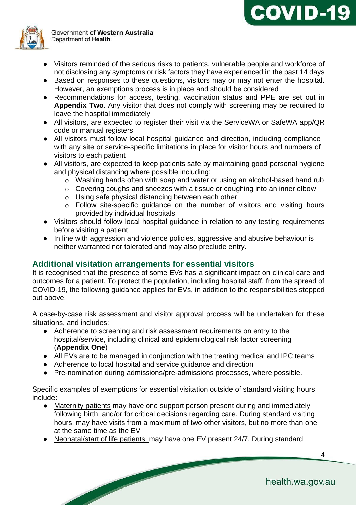

- Visitors reminded of the serious risks to patients, vulnerable people and workforce of not disclosing any symptoms or risk factors they have experienced in the past 14 days
- Based on responses to these questions, visitors may or may not enter the hospital. However, an exemptions process is in place and should be considered
- Recommendations for access, testing, vaccination status and PPE are set out in **Appendix Two**. Any visitor that does not comply with screening may be required to leave the hospital immediately
- All visitors, are expected to register their visit via the ServiceWA or SafeWA app/QR code or manual registers
- All visitors must follow local hospital guidance and direction, including compliance with any site or service-specific limitations in place for visitor hours and numbers of visitors to each patient
- All visitors, are expected to keep patients safe by maintaining good personal hygiene and physical distancing where possible including:
	- o Washing hands often with soap and water or using an alcohol-based hand rub
	- o Covering coughs and sneezes with a tissue or coughing into an inner elbow
	- o Using safe physical distancing between each other
	- o Follow site-specific guidance on the number of visitors and visiting hours provided by individual hospitals
- Visitors should follow local hospital guidance in relation to any testing requirements before visiting a patient
- In line with aggression and violence policies, aggressive and abusive behaviour is neither warranted nor tolerated and may also preclude entry.

## **Additional visitation arrangements for essential visitors**

It is recognised that the presence of some EVs has a significant impact on clinical care and outcomes for a patient. To protect the population, including hospital staff, from the spread of COVID-19, the following guidance applies for EVs, in addition to the responsibilities stepped out above.

A case-by-case risk assessment and visitor approval process will be undertaken for these situations, and includes:

- Adherence to screening and risk assessment requirements on entry to the hospital/service, including clinical and epidemiological risk factor screening (**Appendix One**)
- All EVs are to be managed in conjunction with the treating medical and IPC teams
- Adherence to local hospital and service quidance and direction

 $\overline{\phantom{a}}$ 

● Pre-nomination during admissions/pre-admissions processes, where possible.

Specific examples of exemptions for essential visitation outside of standard visiting hours include:

- Maternity patients may have one support person present during and immediately following birth, and/or for critical decisions regarding care. During standard visiting hours, may have visits from a maximum of two other visitors, but no more than one at the same time as the EV
- Neonatal/start of life patients, may have one EV present 24/7. During standard

**COVID-19**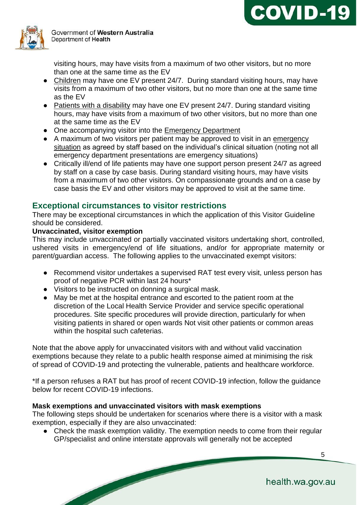



visiting hours, may have visits from a maximum of two other visitors, but no more than one at the same time as the EV

- Children may have one EV present 24/7. During standard visiting hours, may have visits from a maximum of two other visitors, but no more than one at the same time as the EV
- Patients with a disability may have one EV present 24/7. During standard visiting hours, may have visits from a maximum of two other visitors, but no more than one at the same time as the EV
- One accompanying visitor into the Emergency Department
- A maximum of two visitors per patient may be approved to visit in an emergency situation as agreed by staff based on the individual's clinical situation (noting not all emergency department presentations are emergency situations)
- Critically ill/end of life patients may have one support person present 24/7 as agreed by staff on a case by case basis. During standard visiting hours, may have visits from a maximum of two other visitors. On compassionate grounds and on a case by case basis the EV and other visitors may be approved to visit at the same time.

### **Exceptional circumstances to visitor restrictions**

There may be exceptional circumstances in which the application of this Visitor Guideline should be considered.

#### **Unvaccinated, visitor exemption**

This may include unvaccinated or partially vaccinated visitors undertaking short, controlled, ushered visits in emergency/end of life situations, and/or for appropriate maternity or parent/guardian access. The following applies to the unvaccinated exempt visitors:

- Recommend visitor undertakes a supervised RAT test every visit, unless person has proof of negative PCR within last 24 hours\*
- Visitors to be instructed on donning a surgical mask.
- May be met at the hospital entrance and escorted to the patient room at the discretion of the Local Health Service Provider and service specific operational procedures. Site specific procedures will provide direction, particularly for when visiting patients in shared or open wards Not visit other patients or common areas within the hospital such cafeterias.

Note that the above apply for unvaccinated visitors with and without valid vaccination exemptions because they relate to a public health response aimed at minimising the risk of spread of COVID-19 and protecting the vulnerable, patients and healthcare workforce.

\*If a person refuses a RAT but has proof of recent COVID-19 infection, follow the guidance below for recent COVID-19 infections.

#### **Mask exemptions and unvaccinated visitors with mask exemptions**

The following steps should be undertaken for scenarios where there is a visitor with a mask exemption, especially if they are also unvaccinated:

• Check the mask exemption validity. The exemption needs to come from their regular GP/specialist and online interstate approvals will generally not be accepted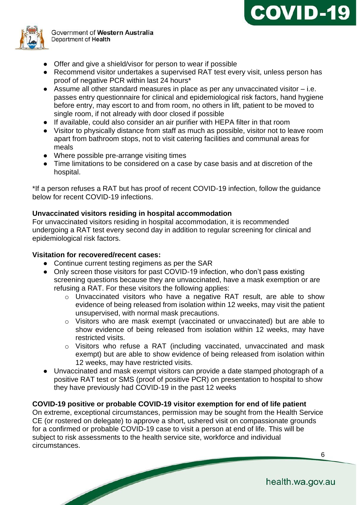



- Offer and give a shield/visor for person to wear if possible
- Recommend visitor undertakes a supervised RAT test every visit, unless person has proof of negative PCR within last 24 hours\*
- Assume all other standard measures in place as per any unvaccinated visitor i.e. passes entry questionnaire for clinical and epidemiological risk factors, hand hygiene before entry, may escort to and from room, no others in lift, patient to be moved to single room, if not already with door closed if possible
- If available, could also consider an air purifier with HEPA filter in that room
- Visitor to physically distance from staff as much as possible, visitor not to leave room apart from bathroom stops, not to visit catering facilities and communal areas for meals
- Where possible pre-arrange visiting times
- Time limitations to be considered on a case by case basis and at discretion of the hospital.

\*If a person refuses a RAT but has proof of recent COVID-19 infection, follow the guidance below for recent COVID-19 infections.

#### **Unvaccinated visitors residing in hospital accommodation**

For unvaccinated visitors residing in hospital accommodation, it is recommended undergoing a RAT test every second day in addition to regular screening for clinical and epidemiological risk factors.

#### **Visitation for recovered/recent cases:**

- Continue current testing regimens as per the SAR
- Only screen those visitors for past COVID-19 infection, who don't pass existing screening questions because they are unvaccinated, have a mask exemption or are refusing a RAT. For these visitors the following applies:
	- o Unvaccinated visitors who have a negative RAT result, are able to show evidence of being released from isolation within 12 weeks, may visit the patient unsupervised, with normal mask precautions.
	- o Visitors who are mask exempt (vaccinated or unvaccinated) but are able to show evidence of being released from isolation within 12 weeks, may have restricted visits.
	- o Visitors who refuse a RAT (including vaccinated, unvaccinated and mask exempt) but are able to show evidence of being released from isolation within 12 weeks, may have restricted visits.
- Unvaccinated and mask exempt visitors can provide a date stamped photograph of a positive RAT test or SMS (proof of positive PCR) on presentation to hospital to show they have previously had COVID-19 in the past 12 weeks

#### **COVID-19 positive or probable COVID-19 visitor exemption for end of life patient**

On extreme, exceptional circumstances, permission may be sought from the Health Service CE (or rostered on delegate) to approve a short, ushered visit on compassionate grounds for a confirmed or probable COVID-19 case to visit a person at end of life. This will be subject to risk assessments to the health service site, workforce and individual circumstances.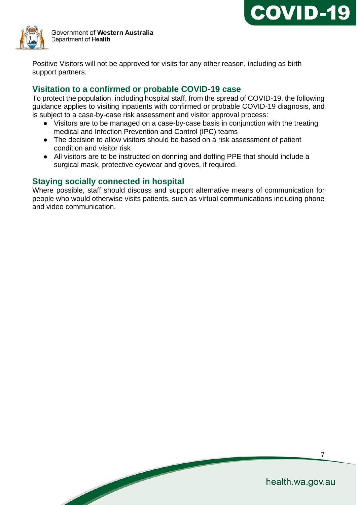



Positive Visitors will not be approved for visits for any other reason, including as birth support partners.

## **Visitation to a confirmed or probable COVID-19 case**

To protect the population, including hospital staff, from the spread of COVID-19, the following guidance applies to visiting inpatients with confirmed or probable COVID-19 diagnosis, and is subject to a case-by-case risk assessment and visitor approval process:

- Visitors are to be managed on a case-by-case basis in conjunction with the treating medical and Infection Prevention and Control (IPC) teams
- The decision to allow visitors should be based on a risk assessment of patient condition and visitor risk
- All visitors are to be instructed on donning and doffing PPE that should include a surgical mask, protective eyewear and gloves, if required.

## **Staying socially connected in hospital**

Where possible, staff should discuss and support alternative means of communication for people who would otherwise visits patients, such as virtual communications including phone and video communication.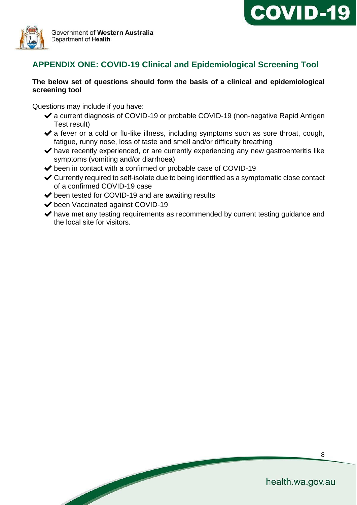



## **APPENDIX ONE: COVID-19 Clinical and Epidemiological Screening Tool**

#### **The below set of questions should form the basis of a clinical and epidemiological screening tool**

Questions may include if you have:

- ◆ a current diagnosis of COVID-19 or probable COVID-19 (non-negative Rapid Antigen Test result)
- $\blacktriangleright$  a fever or a cold or flu-like illness, including symptoms such as sore throat, cough, fatigue, runny nose, loss of taste and smell and/or difficulty breathing
- $\blacktriangleright$  have recently experienced, or are currently experiencing any new gastroenteritis like symptoms (vomiting and/or diarrhoea)
- ◆ been in contact with a confirmed or probable case of COVID-19
- ✔Currently required to self-isolate due to being identified as a symptomatic close contact of a confirmed COVID-19 case
- ◆ been tested for COVID-19 and are awaiting results
- ◆ been Vaccinated against COVID-19

**South Company** 

 $\blacktriangleright$  have met any testing requirements as recommended by current testing quidance and the local site for visitors.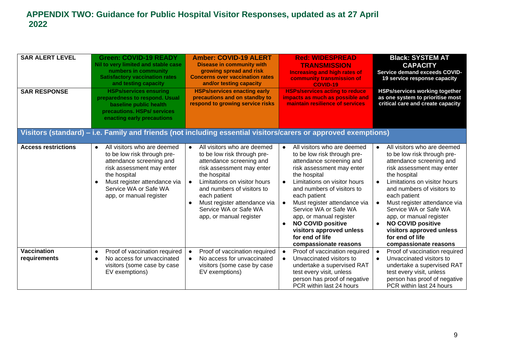| <b>SAR ALERT LEVEL</b><br><b>SAR RESPONSE</b>                                                                  | <b>Green: COVID-19 READY</b><br>Nil to very limited and stable case<br>numbers in community<br><b>Satisfactory vaccination rates</b><br>and testing capacity<br><b>HSPs/services ensuring</b><br>preparedness to respond. Usual<br>baseline public health<br>precautions. HSPs/ services<br>enacting early precautions | <b>Amber: COVID-19 ALERT</b><br><b>Disease in community with</b><br>growing spread and risk<br><b>Concerns over vaccination rates</b><br>and/or testing capacity<br><b>HSPs/services enacting early</b><br>precautions and on standby to<br>respond to growing service risks                          | <b>Red: WIDESPREAD</b><br><b>TRANSMISSION</b><br><b>Increasing and high rates of</b><br>community transmission of<br><b>COVID-19</b><br><b>HSPs/services acting to reduce</b><br>impacts as much as possible and<br>maintain resilience of services                                                                                                                                                                                                           | <b>Black: SYSTEM AT</b><br><b>CAPACITY</b><br>Service demand exceeds COVID-<br>19 service response capacity<br><b>HSPs/services working together</b><br>as one system to prioritise most<br>critical care and create capacity                                                                                                                                                                                                                                 |
|----------------------------------------------------------------------------------------------------------------|------------------------------------------------------------------------------------------------------------------------------------------------------------------------------------------------------------------------------------------------------------------------------------------------------------------------|-------------------------------------------------------------------------------------------------------------------------------------------------------------------------------------------------------------------------------------------------------------------------------------------------------|---------------------------------------------------------------------------------------------------------------------------------------------------------------------------------------------------------------------------------------------------------------------------------------------------------------------------------------------------------------------------------------------------------------------------------------------------------------|---------------------------------------------------------------------------------------------------------------------------------------------------------------------------------------------------------------------------------------------------------------------------------------------------------------------------------------------------------------------------------------------------------------------------------------------------------------|
| Visitors (standard) – i.e. Family and friends (not including essential visitors/carers or approved exemptions) |                                                                                                                                                                                                                                                                                                                        |                                                                                                                                                                                                                                                                                                       |                                                                                                                                                                                                                                                                                                                                                                                                                                                               |                                                                                                                                                                                                                                                                                                                                                                                                                                                               |
| <b>Access restrictions</b>                                                                                     | All visitors who are deemed<br>$\bullet$<br>to be low risk through pre-<br>attendance screening and<br>risk assessment may enter<br>the hospital<br>Must register attendance via<br>Service WA or Safe WA<br>app, or manual register                                                                                   | All visitors who are deemed<br>to be low risk through pre-<br>attendance screening and<br>risk assessment may enter<br>the hospital<br>Limitations on visitor hours<br>and numbers of visitors to<br>each patient<br>Must register attendance via<br>Service WA or Safe WA<br>app, or manual register | All visitors who are deemed<br>$\bullet$<br>to be low risk through pre-<br>attendance screening and<br>risk assessment may enter<br>the hospital<br>Limitations on visitor hours<br>$\bullet$<br>and numbers of visitors to<br>each patient<br>Must register attendance via<br>$\bullet$<br>Service WA or Safe WA<br>app, or manual register<br><b>NO COVID positive</b><br>$\bullet$<br>visitors approved unless<br>for end of life<br>compassionate reasons | All visitors who are deemed<br>$\bullet$<br>to be low risk through pre-<br>attendance screening and<br>risk assessment may enter<br>the hospital<br>Limitations on visitor hours<br>$\bullet$<br>and numbers of visitors to<br>each patient<br>Must register attendance via<br>$\bullet$<br>Service WA or Safe WA<br>app, or manual register<br><b>NO COVID positive</b><br>$\bullet$<br>visitors approved unless<br>for end of life<br>compassionate reasons |
| <b>Vaccination</b><br>requirements                                                                             | Proof of vaccination required<br>$\bullet$<br>No access for unvaccinated<br>$\bullet$<br>visitors (some case by case<br>EV exemptions)                                                                                                                                                                                 | Proof of vaccination required<br>No access for unvaccinated<br>visitors (some case by case<br>EV exemptions)                                                                                                                                                                                          | Proof of vaccination required<br>$\bullet$<br>Unvaccinated visitors to<br>$\bullet$<br>undertake a supervised RAT<br>test every visit, unless<br>person has proof of negative<br>PCR within last 24 hours                                                                                                                                                                                                                                                     | Proof of vaccination required<br>$\bullet$<br>Unvaccinated visitors to<br>$\bullet$<br>undertake a supervised RAT<br>test every visit, unless<br>person has proof of negative<br>PCR within last 24 hours                                                                                                                                                                                                                                                     |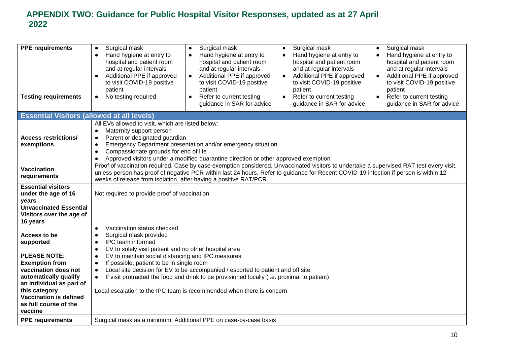| <b>PPE requirements</b>                                                                                                                                                                                                                                                                                               | Surgical mask<br>$\bullet$<br>Hand hygiene at entry to<br>$\bullet$<br>hospital and patient room<br>and at regular intervals<br>Additional PPE if approved<br>to visit COVID-19 positive<br>patient                                                                                                                                                   | Surgical mask<br>$\bullet$<br>Hand hygiene at entry to<br>$\bullet$<br>hospital and patient room<br>and at regular intervals<br>Additional PPE if approved<br>$\bullet$<br>to visit COVID-19 positive<br>patient                                        | Surgical mask<br>$\bullet$<br>Hand hygiene at entry to<br>$\bullet$<br>hospital and patient room<br>and at regular intervals<br>Additional PPE if approved<br>$\bullet$<br>to visit COVID-19 positive<br>patient | Surgical mask<br>$\bullet$<br>Hand hygiene at entry to<br>$\bullet$<br>hospital and patient room<br>and at regular intervals<br>Additional PPE if approved<br>$\bullet$<br>to visit COVID-19 positive<br>patient |
|-----------------------------------------------------------------------------------------------------------------------------------------------------------------------------------------------------------------------------------------------------------------------------------------------------------------------|-------------------------------------------------------------------------------------------------------------------------------------------------------------------------------------------------------------------------------------------------------------------------------------------------------------------------------------------------------|---------------------------------------------------------------------------------------------------------------------------------------------------------------------------------------------------------------------------------------------------------|------------------------------------------------------------------------------------------------------------------------------------------------------------------------------------------------------------------|------------------------------------------------------------------------------------------------------------------------------------------------------------------------------------------------------------------|
| <b>Testing requirements</b>                                                                                                                                                                                                                                                                                           | No testing required<br>$\bullet$                                                                                                                                                                                                                                                                                                                      | Refer to current testing<br>$\bullet$<br>guidance in SAR for advice                                                                                                                                                                                     | Refer to current testing<br>$\bullet$<br>guidance in SAR for advice                                                                                                                                              | Refer to current testing<br>$\bullet$<br>guidance in SAR for advice                                                                                                                                              |
| <b>Essential Visitors (allowed at all levels)</b>                                                                                                                                                                                                                                                                     |                                                                                                                                                                                                                                                                                                                                                       |                                                                                                                                                                                                                                                         |                                                                                                                                                                                                                  |                                                                                                                                                                                                                  |
| <b>Access restrictions/</b><br>exemptions                                                                                                                                                                                                                                                                             | All EVs allowed to visit, which are listed below:<br>Maternity support person<br>$\bullet$<br>Parent or designated guardian<br>Emergency Department presentation and/or emergency situation<br>$\bullet$<br>Compassionate grounds for end of life<br>$\bullet$<br>Approved visitors under a modified quarantine direction or other approved exemption |                                                                                                                                                                                                                                                         |                                                                                                                                                                                                                  |                                                                                                                                                                                                                  |
| <b>Vaccination</b><br>requirements                                                                                                                                                                                                                                                                                    | Proof of vaccination required. Case by case exemption considered. Unvaccinated visitors to undertake a supervised RAT test every visit,<br>unless person has proof of negative PCR within last 24 hours. Refer to guidance for Recent COVID-19 infection if person is within 12<br>weeks of release from isolation, after having a positive RAT/PCR.  |                                                                                                                                                                                                                                                         |                                                                                                                                                                                                                  |                                                                                                                                                                                                                  |
| <b>Essential visitors</b><br>under the age of 16<br>years                                                                                                                                                                                                                                                             | Not required to provide proof of vaccination                                                                                                                                                                                                                                                                                                          |                                                                                                                                                                                                                                                         |                                                                                                                                                                                                                  |                                                                                                                                                                                                                  |
| <b>Unvaccinated Essential</b><br>Visitors over the age of<br>16 years<br>Access to be<br>supported<br><b>PLEASE NOTE:</b><br><b>Exemption from</b><br>vaccination does not<br>automatically qualify<br>an individual as part of<br>this category<br><b>Vaccination is defined</b><br>as full course of the<br>vaccine | Vaccination status checked<br>Surgical mask provided<br>IPC team informed<br>EV to solely visit patient and no other hospital area<br>EV to maintain social distancing and IPC measures<br>$\bullet$<br>If possible, patient to be in single room                                                                                                     | Local site decision for EV to be accompanied / escorted to patient and off site<br>If visit protracted the food and drink to be provisioned locally (i.e. proximal to patient)<br>Local escalation to the IPC team is recommended when there is concern |                                                                                                                                                                                                                  |                                                                                                                                                                                                                  |
| <b>PPE requirements</b>                                                                                                                                                                                                                                                                                               | Surgical mask as a minimum. Additional PPE on case-by-case basis                                                                                                                                                                                                                                                                                      |                                                                                                                                                                                                                                                         |                                                                                                                                                                                                                  |                                                                                                                                                                                                                  |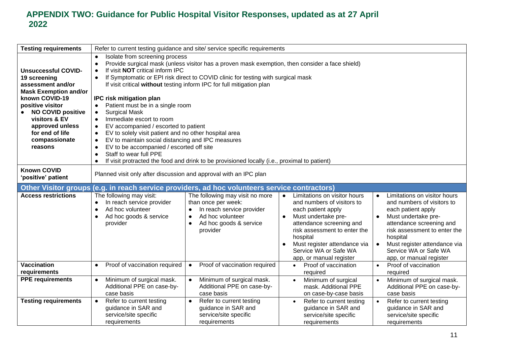| <b>Testing requirements</b>              | Refer to current testing guidance and site/ service specific requirements                                    |                                                                                               |                                           |                                           |
|------------------------------------------|--------------------------------------------------------------------------------------------------------------|-----------------------------------------------------------------------------------------------|-------------------------------------------|-------------------------------------------|
|                                          | Isolate from screening process<br>$\bullet$                                                                  |                                                                                               |                                           |                                           |
|                                          | Provide surgical mask (unless visitor has a proven mask exemption, then consider a face shield)<br>$\bullet$ |                                                                                               |                                           |                                           |
| <b>Unsuccessful COVID-</b>               | If visit NOT critical inform IPC                                                                             |                                                                                               |                                           |                                           |
| 19 screening                             | $\bullet$                                                                                                    | If Symptomatic or EPI risk direct to COVID clinic for testing with surgical mask              |                                           |                                           |
| assessment and/or                        |                                                                                                              | If visit critical without testing inform IPC for full mitigation plan                         |                                           |                                           |
| <b>Mask Exemption and/or</b>             |                                                                                                              |                                                                                               |                                           |                                           |
| known COVID-19                           | IPC risk mitigation plan                                                                                     |                                                                                               |                                           |                                           |
| positive visitor                         | Patient must be in a single room<br>$\bullet$                                                                |                                                                                               |                                           |                                           |
| <b>NO COVID positive</b>                 | <b>Surgical Mask</b><br>$\bullet$                                                                            |                                                                                               |                                           |                                           |
| visitors & EV                            | Immediate escort to room                                                                                     |                                                                                               |                                           |                                           |
| approved unless                          | EV accompanied / escorted to patient<br>$\bullet$                                                            |                                                                                               |                                           |                                           |
| for end of life                          | EV to solely visit patient and no other hospital area<br>$\bullet$                                           |                                                                                               |                                           |                                           |
| compassionate                            | EV to maintain social distancing and IPC measures<br>$\bullet$                                               |                                                                                               |                                           |                                           |
| reasons                                  | EV to be accompanied / escorted off site<br>$\bullet$                                                        |                                                                                               |                                           |                                           |
|                                          | Staff to wear full PPE<br>$\bullet$                                                                          |                                                                                               |                                           |                                           |
|                                          | $\bullet$                                                                                                    | If visit protracted the food and drink to be provisioned locally (i.e., proximal to patient)  |                                           |                                           |
| <b>Known COVID</b><br>'positive' patient | Planned visit only after discussion and approval with an IPC plan                                            |                                                                                               |                                           |                                           |
|                                          |                                                                                                              |                                                                                               |                                           |                                           |
|                                          |                                                                                                              | Other Visitor groups (e.g. in reach service providers, ad hoc volunteers service contractors) |                                           |                                           |
| <b>Access restrictions</b>               | The following may visit:                                                                                     | The following may visit no more                                                               | Limitations on visitor hours<br>$\bullet$ | Limitations on visitor hours<br>$\bullet$ |
|                                          | In reach service provider<br>$\bullet$                                                                       | than once per week:                                                                           | and numbers of visitors to                | and numbers of visitors to                |
|                                          | Ad hoc volunteer                                                                                             | In reach service provider                                                                     | each patient apply                        | each patient apply                        |
|                                          | Ad hoc goods & service                                                                                       | Ad hoc volunteer<br>$\bullet$                                                                 | Must undertake pre-<br>$\bullet$          | Must undertake pre-                       |
|                                          | provider                                                                                                     | Ad hoc goods & service<br>$\bullet$                                                           | attendance screening and                  | attendance screening and                  |
|                                          |                                                                                                              | provider                                                                                      | risk assessment to enter the              | risk assessment to enter the              |
|                                          |                                                                                                              |                                                                                               | hospital                                  | hospital                                  |
|                                          |                                                                                                              |                                                                                               | Must register attendance via<br>$\bullet$ | Must register attendance via<br>$\bullet$ |
|                                          |                                                                                                              |                                                                                               | Service WA or Safe WA                     | Service WA or Safe WA                     |
|                                          |                                                                                                              |                                                                                               | app, or manual register                   | app, or manual register                   |
| <b>Vaccination</b>                       | Proof of vaccination required<br>$\bullet$                                                                   | Proof of vaccination required<br>$\bullet$                                                    | Proof of vaccination<br>$\bullet$         | Proof of vaccination                      |
| requirements                             |                                                                                                              |                                                                                               | required                                  | required                                  |
| <b>PPE requirements</b>                  | Minimum of surgical mask.<br>$\bullet$                                                                       | Minimum of surgical mask.<br>$\bullet$                                                        | Minimum of surgical<br>$\bullet$          | Minimum of surgical mask.<br>$\bullet$    |
|                                          | Additional PPE on case-by-                                                                                   | Additional PPE on case-by-                                                                    | mask. Additional PPE                      | Additional PPE on case-by-                |
|                                          | case basis                                                                                                   | case basis                                                                                    | on case-by-case basis                     | case basis                                |
| <b>Testing requirements</b>              | Refer to current testing<br>$\bullet$                                                                        | Refer to current testing<br>$\bullet$                                                         | Refer to current testing<br>$\bullet$     | Refer to current testing<br>$\bullet$     |
|                                          | guidance in SAR and                                                                                          | guidance in SAR and                                                                           | guidance in SAR and                       | guidance in SAR and                       |
|                                          | service/site specific<br>requirements                                                                        | service/site specific<br>requirements                                                         | service/site specific<br>requirements     | service/site specific<br>requirements     |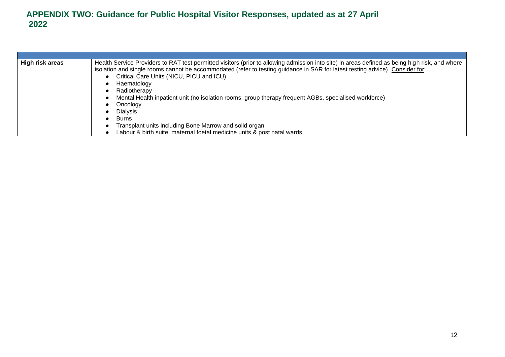| High risk areas | Health Service Providers to RAT test permitted visitors (prior to allowing admission into site) in areas defined as being high risk, and where<br>isolation and single rooms cannot be accommodated (refer to testing guidance in SAR for latest testing advice). Consider for:<br>Critical Care Units (NICU, PICU and ICU)<br>Haematology |
|-----------------|--------------------------------------------------------------------------------------------------------------------------------------------------------------------------------------------------------------------------------------------------------------------------------------------------------------------------------------------|
|                 | Radiotherapy                                                                                                                                                                                                                                                                                                                               |
|                 | Mental Health inpatient unit (no isolation rooms, group therapy frequent AGBs, specialised workforce)                                                                                                                                                                                                                                      |
|                 | Oncology                                                                                                                                                                                                                                                                                                                                   |
|                 | <b>Dialysis</b>                                                                                                                                                                                                                                                                                                                            |
|                 | Burns                                                                                                                                                                                                                                                                                                                                      |
|                 | Transplant units including Bone Marrow and solid organ                                                                                                                                                                                                                                                                                     |
|                 | Labour & birth suite, maternal foetal medicine units & post natal wards                                                                                                                                                                                                                                                                    |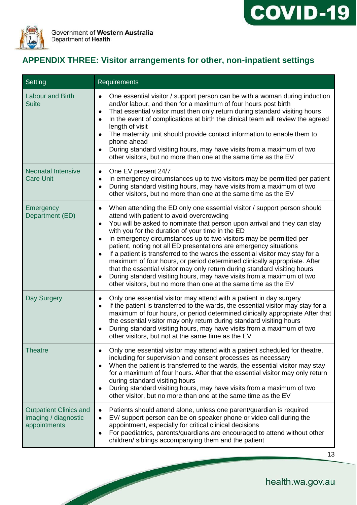



# **APPENDIX THREE: Visitor arrangements for other, non-inpatient settings**

| Setting                                                               | <b>Requirements</b>                                                                                                                                                                                                                                                                                                                                                                                                                                                                                                                                                                                                                                                                                                                                                                                                                                      |
|-----------------------------------------------------------------------|----------------------------------------------------------------------------------------------------------------------------------------------------------------------------------------------------------------------------------------------------------------------------------------------------------------------------------------------------------------------------------------------------------------------------------------------------------------------------------------------------------------------------------------------------------------------------------------------------------------------------------------------------------------------------------------------------------------------------------------------------------------------------------------------------------------------------------------------------------|
| <b>Labour and Birth</b><br><b>Suite</b>                               | One essential visitor / support person can be with a woman during induction<br>$\bullet$<br>and/or labour, and then for a maximum of four hours post birth<br>That essential visitor must then only return during standard visiting hours<br>$\bullet$<br>In the event of complications at birth the clinical team will review the agreed<br>$\bullet$<br>length of visit<br>The maternity unit should provide contact information to enable them to<br>$\bullet$<br>phone ahead<br>During standard visiting hours, may have visits from a maximum of two<br>$\bullet$<br>other visitors, but no more than one at the same time as the EV                                                                                                                                                                                                                |
| <b>Neonatal Intensive</b><br><b>Care Unit</b>                         | One EV present 24/7<br>$\bullet$<br>In emergency circumstances up to two visitors may be permitted per patient<br>$\bullet$<br>During standard visiting hours, may have visits from a maximum of two<br>$\bullet$<br>other visitors, but no more than one at the same time as the EV                                                                                                                                                                                                                                                                                                                                                                                                                                                                                                                                                                     |
| Emergency<br>Department (ED)                                          | When attending the ED only one essential visitor / support person should<br>$\bullet$<br>attend with patient to avoid overcrowding<br>You will be asked to nominate that person upon arrival and they can stay<br>$\bullet$<br>with you for the duration of your time in the ED<br>In emergency circumstances up to two visitors may be permitted per<br>$\bullet$<br>patient, noting not all ED presentations are emergency situations<br>If a patient is transferred to the wards the essential visitor may stay for a<br>$\bullet$<br>maximum of four hours, or period determined clinically appropriate. After<br>that the essential visitor may only return during standard visiting hours<br>During standard visiting hours, may have visits from a maximum of two<br>$\bullet$<br>other visitors, but no more than one at the same time as the EV |
| Day Surgery                                                           | Only one essential visitor may attend with a patient in day surgery<br>$\bullet$<br>If the patient is transferred to the wards, the essential visitor may stay for a<br>$\bullet$<br>maximum of four hours, or period determined clinically appropriate After that<br>the essential visitor may only return during standard visiting hours<br>During standard visiting hours, may have visits from a maximum of two<br>$\bullet$<br>other visitors, but not at the same time as the EV                                                                                                                                                                                                                                                                                                                                                                   |
| <b>Theatre</b>                                                        | Only one essential visitor may attend with a patient scheduled for theatre,<br>$\bullet$<br>including for supervision and consent processes as necessary<br>When the patient is transferred to the wards, the essential visitor may stay<br>$\bullet$<br>for a maximum of four hours. After that the essential visitor may only return<br>during standard visiting hours<br>During standard visiting hours, may have visits from a maximum of two<br>$\bullet$<br>other visitor, but no more than one at the same time as the EV                                                                                                                                                                                                                                                                                                                         |
| <b>Outpatient Clinics and</b><br>imaging / diagnostic<br>appointments | Patients should attend alone, unless one parent/guardian is required<br>$\bullet$<br>EV/ support person can be on speaker phone or video call during the<br>$\bullet$<br>appointment, especially for critical clinical decisions<br>For paediatrics, parents/guardians are encouraged to attend without other<br>$\bullet$<br>children/ siblings accompanying them and the patient                                                                                                                                                                                                                                                                                                                                                                                                                                                                       |

health.wa.gov.au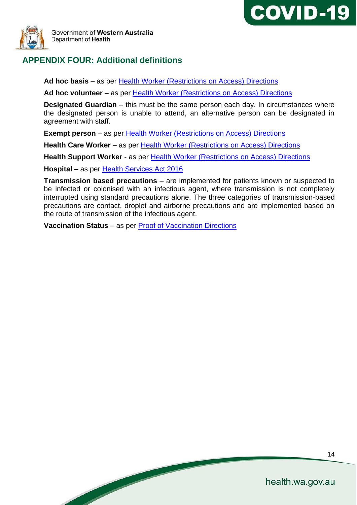



# **APPENDIX FOUR: Additional definitions**

**Ad hoc basis** – as per [Health Worker \(Restrictions on Access\) Directions](https://www.wa.gov.au/government/publications)

**Ad hoc volunteer** – as per [Health Worker \(Restrictions on Access\) Directions](https://www.wa.gov.au/government/publications)

**Designated Guardian** – this must be the same person each day. In circumstances where the designated person is unable to attend, an alternative person can be designated in agreement with staff.

**Exempt person** – as per Health Worker (Restrictions on Access) Directions

**Health Care Worker** – as per [Health Worker \(Restrictions on Access\) Directions](https://www.wa.gov.au/government/publications)

**Health Support Worker** - a[s](https://www.wa.gov.au/government/publications) per **Health Worker (Restrictions on Access) Directions** 

**Hospital –** as per [Health Services Act 2016](https://www.legislation.wa.gov.au/legislation/prod/filestore.nsf/FileURL/mrdoc_29646.pdf/$FILE/Health%20Services%20Act%202016%20-%20%5B00-e0-06%5D.pdf?OpenElement)

**Transmission based precautions** – are implemented for patients known or suspected to be infected or colonised with an infectious agent, where transmission is not completely interrupted using standard precautions alone. The three categories of transmission-based precautions are contact, droplet and airborne precautions and are implemented based on the route of transmission of the infectious agent.

**Vaccination Status** – as per [Proof of Vaccination Directions](https://www.wa.gov.au/government/publications)